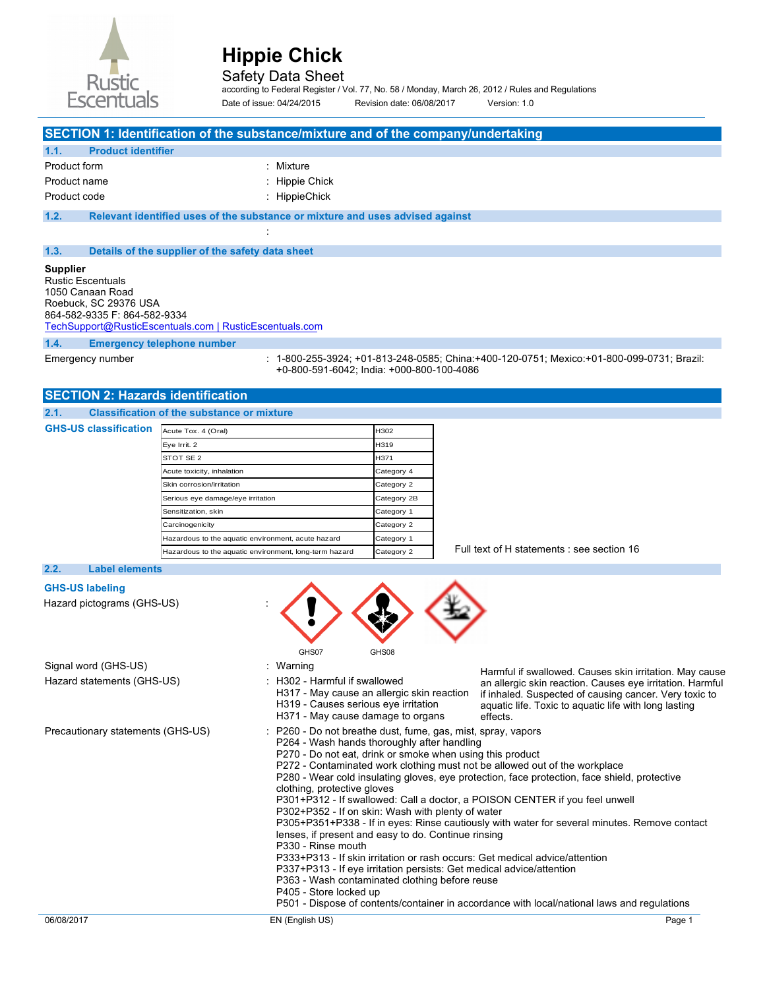

## Safety Data Sheet

according to Federal Register / Vol. 77, No. 58 / Monday, March 26, 2012 / Rules and Regulations Date of issue: 04/24/2015 Revision date: 06/08/2017 Version: 1.0

## **SECTION 1: Identification of the substance/mixture and of the company/undertaking**

| 1.1.         | <b>Product identifier</b> |                |
|--------------|---------------------------|----------------|
| Product form |                           | : Mixture      |
| Product name |                           | : Hippie Chick |
| Product code |                           | : HippieChick  |

**1.2. Relevant identified uses of the substance or mixture and uses advised against**  :

#### **1.3. Details of the supplier of the safety data sheet**

## **Supplier**

| <b>Rustic Escentuals</b>                                |
|---------------------------------------------------------|
| 1050 Canaan Road                                        |
| Roebuck, SC 29376 USA                                   |
| 864-582-9335 F: 864-582-9334                            |
| TechSupport@RusticEscentuals.com   RusticEscentuals.com |
|                                                         |

## **1.4. Emergency telephone number**

**GHS-US classification** 

Emergency number : 1-800-255-3924; +01-813-248-0585; China:+400-120-0751; Mexico:+01-800-099-0731; Brazil: +0-800-591-6042; India: +000-800-100-4086

## **SECTION 2: Hazards identification**

## **2.1. Classification of the substance or mixture**

| Acute Tox. 4 (Oral)                                    | H302        |
|--------------------------------------------------------|-------------|
| Eye Irrit. 2                                           | H319        |
| STOT SE 2                                              | H371        |
| Acute toxicity, inhalation                             | Category 4  |
| Skin corrosion/irritation                              | Category 2  |
| Serious eye damage/eye irritation                      | Category 2B |
| Sensitization, skin                                    | Category 1  |
| Carcinogenicity                                        | Category 2  |
| Hazardous to the aquatic environment, acute hazard     | Category 1  |
| Hazardous to the aquatic environment, long-term hazard | Category 2  |

Full text of H statements : see section 16

### **2.2. Label elements**

## **GHS-US labeling**

Hazard pictograms (GHS-US) :

|                                                    | GHS07<br>GHS08                                                                                                                                                                                                                                                                                                                                                                                                                                                                                                                                                                                                                                                                                                                                                                                                                                                                                                                                                                                                                           |  |
|----------------------------------------------------|------------------------------------------------------------------------------------------------------------------------------------------------------------------------------------------------------------------------------------------------------------------------------------------------------------------------------------------------------------------------------------------------------------------------------------------------------------------------------------------------------------------------------------------------------------------------------------------------------------------------------------------------------------------------------------------------------------------------------------------------------------------------------------------------------------------------------------------------------------------------------------------------------------------------------------------------------------------------------------------------------------------------------------------|--|
| Signal word (GHS-US)<br>Hazard statements (GHS-US) | : Warning<br>Harmful if swallowed. Causes skin irritation. May cause<br>$\pm$ H302 - Harmful if swallowed<br>an allergic skin reaction. Causes eye irritation. Harmful<br>H317 - May cause an allergic skin reaction<br>if inhaled. Suspected of causing cancer. Very toxic to<br>H319 - Causes serious eye irritation<br>aquatic life. Toxic to aquatic life with long lasting<br>H371 - May cause damage to organs<br>effects.                                                                                                                                                                                                                                                                                                                                                                                                                                                                                                                                                                                                         |  |
| Precautionary statements (GHS-US)                  | : P260 - Do not breathe dust, fume, gas, mist, spray, vapors<br>P264 - Wash hands thoroughly after handling<br>P270 - Do not eat, drink or smoke when using this product<br>P272 - Contaminated work clothing must not be allowed out of the workplace<br>P280 - Wear cold insulating gloves, eye protection, face protection, face shield, protective<br>clothing, protective gloves<br>P301+P312 - If swallowed: Call a doctor, a POISON CENTER if you feel unwell<br>P302+P352 - If on skin: Wash with plenty of water<br>P305+P351+P338 - If in eyes: Rinse cautiously with water for several minutes. Remove contact<br>lenses, if present and easy to do. Continue rinsing<br>P330 - Rinse mouth<br>P333+P313 - If skin irritation or rash occurs: Get medical advice/attention<br>P337+P313 - If eye irritation persists: Get medical advice/attention<br>P363 - Wash contaminated clothing before reuse<br>P405 - Store locked up<br>P501 - Dispose of contents/container in accordance with local/national laws and regulations |  |
| 06/08/2017                                         | EN (English US)<br>Page 1                                                                                                                                                                                                                                                                                                                                                                                                                                                                                                                                                                                                                                                                                                                                                                                                                                                                                                                                                                                                                |  |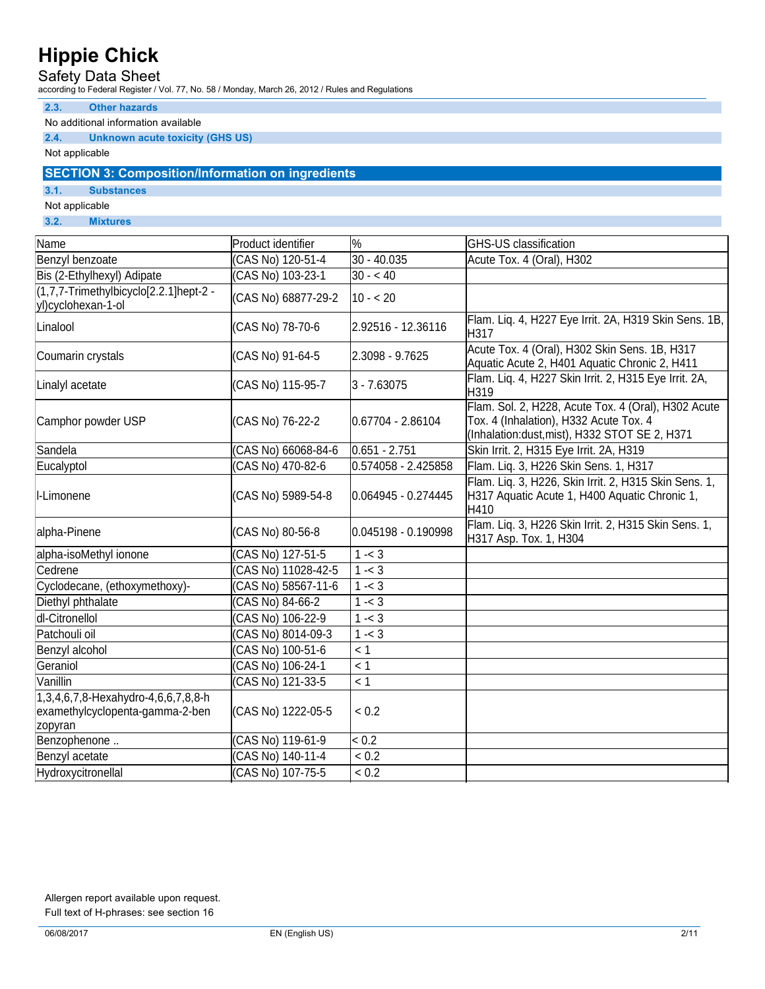## Safety Data Sheet

according to Federal Register / Vol. 77, No. 58 / Monday, March 26, 2012 / Rules and Regulations

## **2.3. Other hazards**

No additional information available

## **2.4. Unknown acute toxicity (GHS US)**

Not applicable

## **SECTION 3: Composition/Information on ingredients**

**3.1. Substances** 

Not applicable

**3.2. Mixtures** 

| Name                                                                              | Product identifier  | $\frac{9}{6}$       | <b>GHS-US classification</b>                                                                                                                   |
|-----------------------------------------------------------------------------------|---------------------|---------------------|------------------------------------------------------------------------------------------------------------------------------------------------|
| Benzyl benzoate                                                                   | (CAS No) 120-51-4   | 30 - 40.035         | Acute Tox. 4 (Oral), H302                                                                                                                      |
| Bis (2-Ethylhexyl) Adipate                                                        | CAS No) 103-23-1    | $30 - 40$           |                                                                                                                                                |
| (1,7,7-Trimethylbicyclo[2.2.1]hept-2 -<br>yl)cyclohexan-1-ol                      | (CAS No) 68877-29-2 | $ 10 - 20$          |                                                                                                                                                |
| Linalool                                                                          | (CAS No) 78-70-6    | 2.92516 - 12.36116  | Flam. Lig. 4, H227 Eye Irrit. 2A, H319 Skin Sens. 1B,<br>H317                                                                                  |
| Coumarin crystals                                                                 | CAS No) 91-64-5     | 2.3098 - 9.7625     | Acute Tox. 4 (Oral), H302 Skin Sens. 1B, H317<br>Aquatic Acute 2, H401 Aquatic Chronic 2, H411                                                 |
| Linalyl acetate                                                                   | (CAS No) 115-95-7   | $3 - 7.63075$       | Flam. Liq. 4, H227 Skin Irrit. 2, H315 Eye Irrit. 2A,<br>H319                                                                                  |
| Camphor powder USP                                                                | (CAS No) 76-22-2    | 0.67704 - 2.86104   | Flam. Sol. 2, H228, Acute Tox. 4 (Oral), H302 Acute<br>Tox. 4 (Inhalation), H332 Acute Tox. 4<br>(Inhalation:dust, mist), H332 STOT SE 2, H371 |
| Sandela                                                                           | CAS No) 66068-84-6  | $0.651 - 2.751$     | Skin Irrit. 2, H315 Eye Irrit. 2A, H319                                                                                                        |
| Eucalyptol                                                                        | CAS No) 470-82-6    | 0.574058 - 2.425858 | Flam. Liq. 3, H226 Skin Sens. 1, H317                                                                                                          |
| I-Limonene                                                                        | CAS No) 5989-54-8   | 0.064945 - 0.274445 | Flam. Liq. 3, H226, Skin Irrit. 2, H315 Skin Sens. 1,<br>H317 Aquatic Acute 1, H400 Aquatic Chronic 1,<br>H410                                 |
| alpha-Pinene                                                                      | (CAS No) 80-56-8    | 0.045198 - 0.190998 | Flam. Lig. 3, H226 Skin Irrit. 2, H315 Skin Sens. 1,<br>H317 Asp. Tox. 1, H304                                                                 |
| alpha-isoMethyl ionone                                                            | CAS No) 127-51-5    | $1 - 3$             |                                                                                                                                                |
| Cedrene                                                                           | CAS No) 11028-42-5  | $1 - 3$             |                                                                                                                                                |
| Cyclodecane, (ethoxymethoxy)-                                                     | (CAS No) 58567-11-6 | $1 - 3$             |                                                                                                                                                |
| Diethyl phthalate                                                                 | CAS No) 84-66-2     | $1 - 3$             |                                                                                                                                                |
| dl-Citronellol                                                                    | CAS No) 106-22-9    | $1 - 3$             |                                                                                                                                                |
| Patchouli oil                                                                     | CAS No) 8014-09-3   | $1 - 3$             |                                                                                                                                                |
| Benzyl alcohol                                                                    | CAS No) 100-51-6    | $\leq 1$            |                                                                                                                                                |
| Geraniol                                                                          | CAS No) 106-24-1    | $\leq 1$            |                                                                                                                                                |
| Vanillin                                                                          | (CAS No) 121-33-5   | $\leq 1$            |                                                                                                                                                |
| 1,3,4,6,7,8-Hexahydro-4,6,6,7,8,8-h<br>examethylcyclopenta-gamma-2-ben<br>zopyran | (CAS No) 1222-05-5  | ${}_{0.2}$          |                                                                                                                                                |
| Benzophenone                                                                      | (CAS No) 119-61-9   | ${}_{0.2}$          |                                                                                                                                                |
| Benzyl acetate                                                                    | (CAS No) 140-11-4   | ${}_{0.2}$          |                                                                                                                                                |
| Hydroxycitronellal                                                                | (CAS No) 107-75-5   | ${}_{0.2}$          |                                                                                                                                                |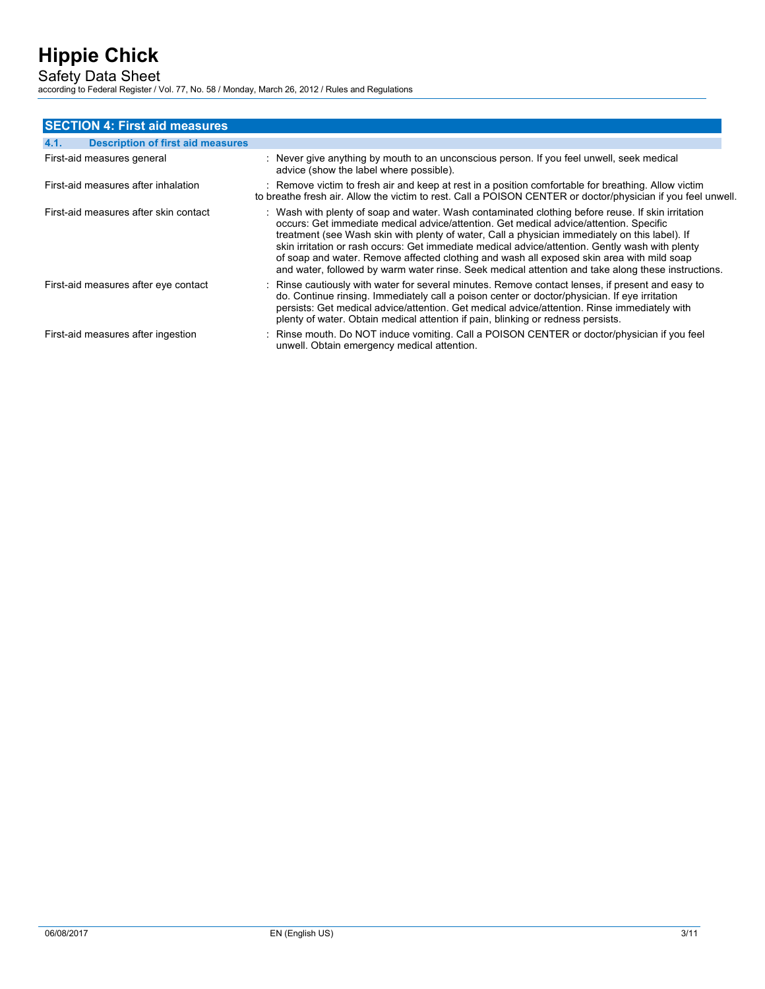Safety Data Sheet

according to Federal Register / Vol. 77, No. 58 / Monday, March 26, 2012 / Rules and Regulations

| <b>SECTION 4: First aid measures</b>             |                                                                                                                                                                                                                                                                                                                                                                                                                                                                                                                                                                                                     |
|--------------------------------------------------|-----------------------------------------------------------------------------------------------------------------------------------------------------------------------------------------------------------------------------------------------------------------------------------------------------------------------------------------------------------------------------------------------------------------------------------------------------------------------------------------------------------------------------------------------------------------------------------------------------|
| 4.1.<br><b>Description of first aid measures</b> |                                                                                                                                                                                                                                                                                                                                                                                                                                                                                                                                                                                                     |
| First-aid measures general                       | : Never give anything by mouth to an unconscious person. If you feel unwell, seek medical<br>advice (show the label where possible).                                                                                                                                                                                                                                                                                                                                                                                                                                                                |
| First-aid measures after inhalation              | : Remove victim to fresh air and keep at rest in a position comfortable for breathing. Allow victim<br>to breathe fresh air. Allow the victim to rest. Call a POISON CENTER or doctor/physician if you feel unwell.                                                                                                                                                                                                                                                                                                                                                                                 |
| First-aid measures after skin contact            | : Wash with plenty of soap and water. Wash contaminated clothing before reuse. If skin irritation<br>occurs: Get immediate medical advice/attention. Get medical advice/attention. Specific<br>treatment (see Wash skin with plenty of water, Call a physician immediately on this label). If<br>skin irritation or rash occurs: Get immediate medical advice/attention. Gently wash with plenty<br>of soap and water. Remove affected clothing and wash all exposed skin area with mild soap<br>and water, followed by warm water rinse. Seek medical attention and take along these instructions. |
| First-aid measures after eye contact             | : Rinse cautiously with water for several minutes. Remove contact lenses, if present and easy to<br>do. Continue rinsing. Immediately call a poison center or doctor/physician. If eye irritation<br>persists: Get medical advice/attention. Get medical advice/attention. Rinse immediately with<br>plenty of water. Obtain medical attention if pain, blinking or redness persists.                                                                                                                                                                                                               |
| First-aid measures after ingestion               | : Rinse mouth. Do NOT induce vomiting. Call a POISON CENTER or doctor/physician if you feel<br>unwell. Obtain emergency medical attention.                                                                                                                                                                                                                                                                                                                                                                                                                                                          |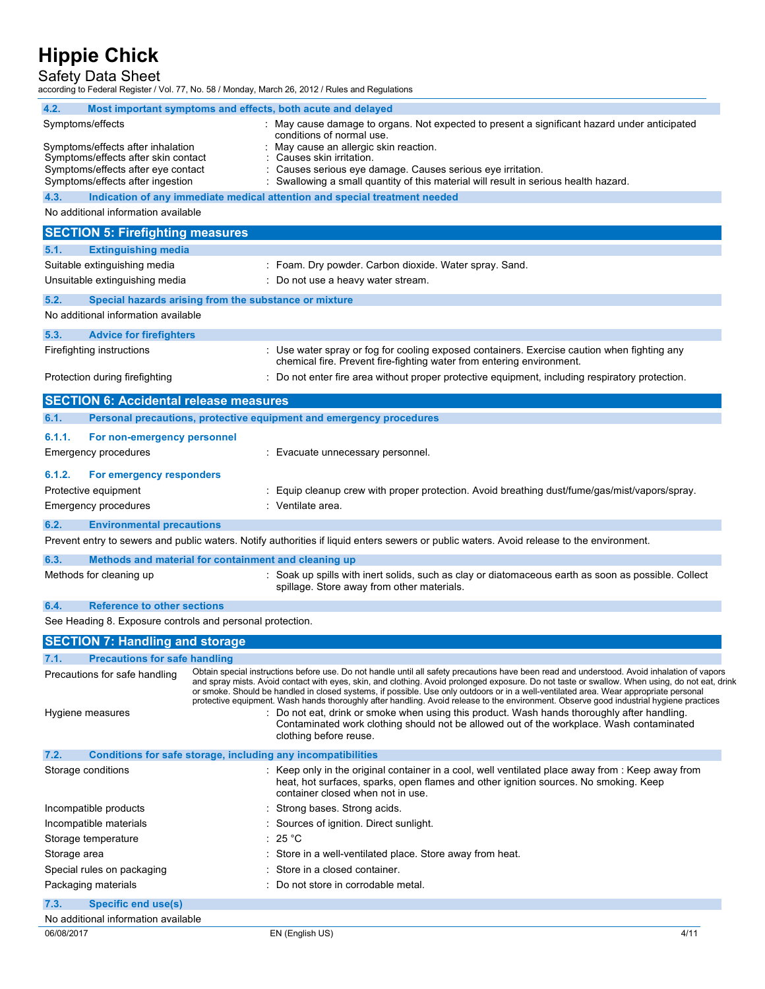## Safety Data Sheet

according to Federal Register / Vol. 77, No. 58 / Monday, March 26, 2012 / Rules and Regulations

| 4.2.                                                          |  | Most important symptoms and effects, both acute and delayed                                                                                                                                                                                                                             |
|---------------------------------------------------------------|--|-----------------------------------------------------------------------------------------------------------------------------------------------------------------------------------------------------------------------------------------------------------------------------------------|
| Symptoms/effects                                              |  | : May cause damage to organs. Not expected to present a significant hazard under anticipated                                                                                                                                                                                            |
| Symptoms/effects after inhalation                             |  | conditions of normal use.<br>May cause an allergic skin reaction.                                                                                                                                                                                                                       |
| Symptoms/effects after skin contact                           |  | Causes skin irritation.                                                                                                                                                                                                                                                                 |
| Symptoms/effects after eye contact                            |  | Causes serious eye damage. Causes serious eye irritation.                                                                                                                                                                                                                               |
| Symptoms/effects after ingestion                              |  | : Swallowing a small quantity of this material will result in serious health hazard.                                                                                                                                                                                                    |
| 4.3.                                                          |  | Indication of any immediate medical attention and special treatment needed                                                                                                                                                                                                              |
| No additional information available                           |  |                                                                                                                                                                                                                                                                                         |
| <b>SECTION 5: Firefighting measures</b>                       |  |                                                                                                                                                                                                                                                                                         |
| <b>Extinguishing media</b><br>5.1.                            |  |                                                                                                                                                                                                                                                                                         |
| Suitable extinguishing media                                  |  | : Foam. Dry powder. Carbon dioxide. Water spray. Sand.                                                                                                                                                                                                                                  |
| Unsuitable extinguishing media                                |  | : Do not use a heavy water stream.                                                                                                                                                                                                                                                      |
| 5.2.<br>Special hazards arising from the substance or mixture |  |                                                                                                                                                                                                                                                                                         |
| No additional information available                           |  |                                                                                                                                                                                                                                                                                         |
| 5.3.<br><b>Advice for firefighters</b>                        |  |                                                                                                                                                                                                                                                                                         |
| Firefighting instructions                                     |  | : Use water spray or fog for cooling exposed containers. Exercise caution when fighting any                                                                                                                                                                                             |
|                                                               |  | chemical fire. Prevent fire-fighting water from entering environment.                                                                                                                                                                                                                   |
| Protection during firefighting                                |  | : Do not enter fire area without proper protective equipment, including respiratory protection.                                                                                                                                                                                         |
| <b>SECTION 6: Accidental release measures</b>                 |  |                                                                                                                                                                                                                                                                                         |
| 6.1.                                                          |  | Personal precautions, protective equipment and emergency procedures                                                                                                                                                                                                                     |
| 6.1.1.<br>For non-emergency personnel                         |  |                                                                                                                                                                                                                                                                                         |
| <b>Emergency procedures</b>                                   |  | : Evacuate unnecessary personnel.                                                                                                                                                                                                                                                       |
|                                                               |  |                                                                                                                                                                                                                                                                                         |
| 6.1.2.<br>For emergency responders                            |  |                                                                                                                                                                                                                                                                                         |
| Protective equipment                                          |  | Equip cleanup crew with proper protection. Avoid breathing dust/fume/gas/mist/vapors/spray.                                                                                                                                                                                             |
| <b>Emergency procedures</b>                                   |  | : Ventilate area.                                                                                                                                                                                                                                                                       |
| 6.2.<br><b>Environmental precautions</b>                      |  |                                                                                                                                                                                                                                                                                         |
|                                                               |  | Prevent entry to sewers and public waters. Notify authorities if liquid enters sewers or public waters. Avoid release to the environment.                                                                                                                                               |
| 6.3.<br>Methods and material for containment and cleaning up  |  |                                                                                                                                                                                                                                                                                         |
| Methods for cleaning up                                       |  | : Soak up spills with inert solids, such as clay or diatomaceous earth as soon as possible. Collect                                                                                                                                                                                     |
|                                                               |  | spillage. Store away from other materials.                                                                                                                                                                                                                                              |
| 6.4.<br><b>Reference to other sections</b>                    |  |                                                                                                                                                                                                                                                                                         |
| See Heading 8. Exposure controls and personal protection.     |  |                                                                                                                                                                                                                                                                                         |
| <b>SECTION 7: Handling and storage</b>                        |  |                                                                                                                                                                                                                                                                                         |
| 7.1.<br><b>Precautions for safe handling</b>                  |  |                                                                                                                                                                                                                                                                                         |
| Precautions for safe handling                                 |  | Obtain special instructions before use. Do not handle until all safety precautions have been read and understood. Avoid inhalation of vapors                                                                                                                                            |
|                                                               |  | and spray mists. Avoid contact with eyes, skin, and clothing. Avoid prolonged exposure. Do not taste or swallow. When using, do not eat, drink<br>or smoke. Should be handled in closed systems, if possible. Use only outdoors or in a well-ventilated area. Wear appropriate personal |
|                                                               |  | protective equipment. Wash hands thoroughly after handling. Avoid release to the environment. Observe good industrial hygiene practices                                                                                                                                                 |
| Hygiene measures                                              |  | : Do not eat, drink or smoke when using this product. Wash hands thoroughly after handling.<br>Contaminated work clothing should not be allowed out of the workplace. Wash contaminated                                                                                                 |
|                                                               |  | clothing before reuse.                                                                                                                                                                                                                                                                  |
| 7.2.                                                          |  | Conditions for safe storage, including any incompatibilities                                                                                                                                                                                                                            |
| Storage conditions                                            |  | : Keep only in the original container in a cool, well ventilated place away from : Keep away from                                                                                                                                                                                       |
|                                                               |  | heat, hot surfaces, sparks, open flames and other ignition sources. No smoking. Keep<br>container closed when not in use.                                                                                                                                                               |
| Incompatible products                                         |  | Strong bases. Strong acids.                                                                                                                                                                                                                                                             |
| Incompatible materials                                        |  | Sources of ignition. Direct sunlight.                                                                                                                                                                                                                                                   |
| Storage temperature                                           |  | $\cdot$ 25 °C                                                                                                                                                                                                                                                                           |
| Storage area                                                  |  | Store in a well-ventilated place. Store away from heat.                                                                                                                                                                                                                                 |
| Special rules on packaging                                    |  | Store in a closed container.                                                                                                                                                                                                                                                            |
| Packaging materials                                           |  | Do not store in corrodable metal.                                                                                                                                                                                                                                                       |
| 7.3.<br><b>Specific end use(s)</b>                            |  |                                                                                                                                                                                                                                                                                         |
| No additional information available                           |  |                                                                                                                                                                                                                                                                                         |
| 06/08/2017                                                    |  | EN (English US)<br>4/11                                                                                                                                                                                                                                                                 |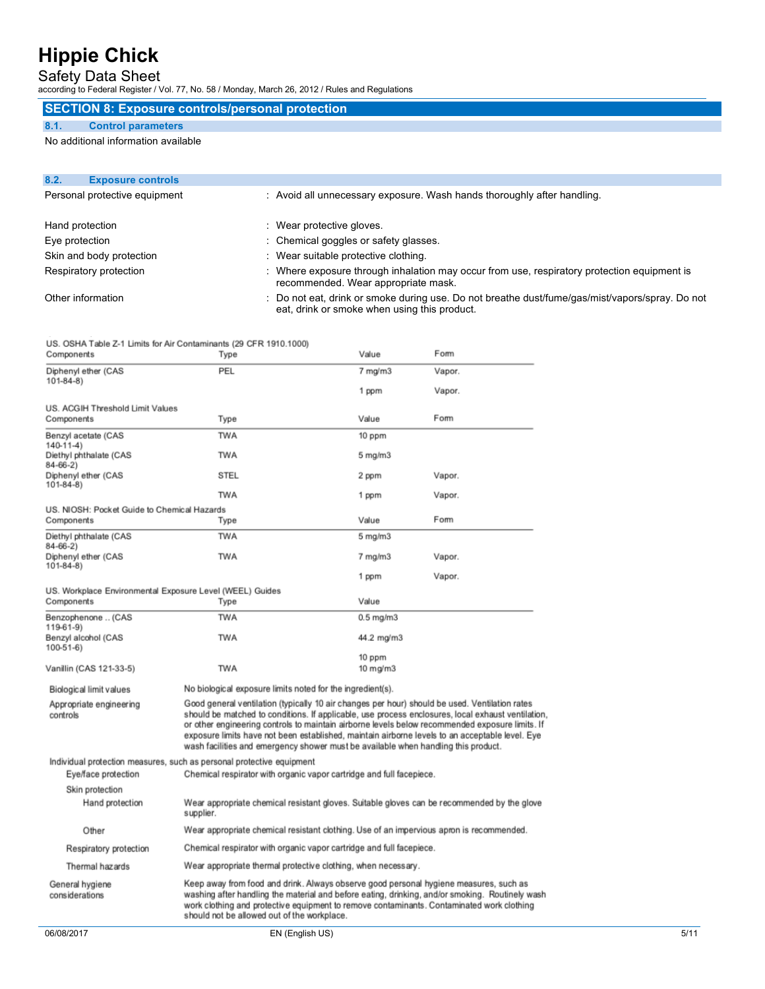## Safety Data Sheet

according to Federal Register / Vol. 77, No. 58 / Monday, March 26, 2012 / Rules and Regulations

## **SECTION 8: Exposure controls/personal protection**

### **8.1. Control parameters**

No additional information available

| 8.2. | <b>Exposure controls</b>      |                                                                                                                                                 |
|------|-------------------------------|-------------------------------------------------------------------------------------------------------------------------------------------------|
|      | Personal protective equipment | : Avoid all unnecessary exposure. Wash hands thoroughly after handling.                                                                         |
|      | Hand protection               | Wear protective gloves.                                                                                                                         |
|      | Eye protection                | : Chemical goggles or safety glasses.                                                                                                           |
|      | Skin and body protection      | : Wear suitable protective clothing.                                                                                                            |
|      | Respiratory protection        | Where exposure through inhalation may occur from use, respiratory protection equipment is<br>recommended. Wear appropriate mask.                |
|      | Other information             | : Do not eat, drink or smoke during use. Do not breathe dust/fume/gas/mist/vapors/spray. Do not<br>eat, drink or smoke when using this product. |

US. OSHA Table Z-1 Limits for Air Contaminants (29 CFR 1910.1000)

| Components                                                | Type                                                                                     | Value                                                         | Form                                                                                                                                                                                                                                                                                                                                                                                                       |      |
|-----------------------------------------------------------|------------------------------------------------------------------------------------------|---------------------------------------------------------------|------------------------------------------------------------------------------------------------------------------------------------------------------------------------------------------------------------------------------------------------------------------------------------------------------------------------------------------------------------------------------------------------------------|------|
| Diphenyl ether (CAS                                       | PEL                                                                                      | $7$ mg/m $3$                                                  | Vapor.                                                                                                                                                                                                                                                                                                                                                                                                     |      |
| $101 - 84 - 8$                                            |                                                                                          | 1 ppm                                                         | Vapor.                                                                                                                                                                                                                                                                                                                                                                                                     |      |
| US. ACGIH Threshold Limit Values                          |                                                                                          |                                                               |                                                                                                                                                                                                                                                                                                                                                                                                            |      |
| Components                                                | Type                                                                                     | Value                                                         | Form                                                                                                                                                                                                                                                                                                                                                                                                       |      |
| Benzyl acetate (CAS<br>$140-11-4$                         | <b>TWA</b>                                                                               | 10 ppm                                                        |                                                                                                                                                                                                                                                                                                                                                                                                            |      |
| Diethyl phthalate (CAS<br>$84 - 66 - 2$                   | <b>TWA</b>                                                                               | $5$ mg/m $3$                                                  |                                                                                                                                                                                                                                                                                                                                                                                                            |      |
| Diphenyl ether (CAS<br>$101 - 84 - 8$                     | <b>STEL</b>                                                                              | 2 ppm                                                         | Vapor.                                                                                                                                                                                                                                                                                                                                                                                                     |      |
|                                                           | <b>TWA</b>                                                                               | 1 ppm                                                         | Vapor.                                                                                                                                                                                                                                                                                                                                                                                                     |      |
| US, NIOSH: Pocket Guide to Chemical Hazards<br>Components | Type                                                                                     | Value                                                         | Form                                                                                                                                                                                                                                                                                                                                                                                                       |      |
| Diethyl phthalate (CAS<br>$84 - 66 - 2$                   | <b>TWA</b>                                                                               | $5$ mg/m $3$                                                  |                                                                                                                                                                                                                                                                                                                                                                                                            |      |
| Diphenyl ether (CAS<br>$101 - 84 - 8$                     | <b>TWA</b>                                                                               | $7$ mg/m $3$                                                  | Vapor.                                                                                                                                                                                                                                                                                                                                                                                                     |      |
|                                                           |                                                                                          | 1 ppm                                                         | Vapor.                                                                                                                                                                                                                                                                                                                                                                                                     |      |
| US. Workplace Environmental Exposure Level (WEEL) Guides  |                                                                                          |                                                               |                                                                                                                                                                                                                                                                                                                                                                                                            |      |
| Components                                                | Type                                                                                     | Value                                                         |                                                                                                                                                                                                                                                                                                                                                                                                            |      |
| Benzophenone  (CAS<br>119-61-9)                           | TWA                                                                                      | $0.5$ mg/m $3$                                                |                                                                                                                                                                                                                                                                                                                                                                                                            |      |
| Benzyl alcohol (CAS<br>$100-51-6$                         | <b>TWA</b>                                                                               | 44.2 mg/m3                                                    |                                                                                                                                                                                                                                                                                                                                                                                                            |      |
| Vanillin (CAS 121-33-5)                                   | <b>TWA</b>                                                                               | 10 ppm<br>$10 \text{ mg/m}$                                   |                                                                                                                                                                                                                                                                                                                                                                                                            |      |
| Biological limit values                                   | No biological exposure limits noted for the ingredient(s).                               |                                                               |                                                                                                                                                                                                                                                                                                                                                                                                            |      |
| Appropriate engineering<br>controls                       | wash facilities and emergency shower must be available when handling this product.       |                                                               | Good general ventilation (typically 10 air changes per hour) should be used. Ventilation rates<br>should be matched to conditions. If applicable, use process enclosures, local exhaust ventilation,<br>or other engineering controls to maintain airborne levels below recommended exposure limits. If<br>exposure limits have not been established, maintain airborne levels to an acceptable level. Eye |      |
|                                                           | Individual protection measures, such as personal protective equipment                    |                                                               |                                                                                                                                                                                                                                                                                                                                                                                                            |      |
| Eye/face protection                                       | Chemical respirator with organic vapor cartridge and full facepiece.                     |                                                               |                                                                                                                                                                                                                                                                                                                                                                                                            |      |
| Skin protection                                           |                                                                                          |                                                               |                                                                                                                                                                                                                                                                                                                                                                                                            |      |
| Hand protection                                           | supplier.                                                                                |                                                               | Wear appropriate chemical resistant gloves. Suitable gloves can be recommended by the glove                                                                                                                                                                                                                                                                                                                |      |
| Other                                                     | Wear appropriate chemical resistant clothing. Use of an impervious apron is recommended. |                                                               |                                                                                                                                                                                                                                                                                                                                                                                                            |      |
| Respiratory protection                                    | Chemical respirator with organic vapor cartridge and full facepiece.                     |                                                               |                                                                                                                                                                                                                                                                                                                                                                                                            |      |
| Thermal hazards                                           |                                                                                          | Wear appropriate thermal protective clothing, when necessary. |                                                                                                                                                                                                                                                                                                                                                                                                            |      |
| General hygiene<br>considerations                         | should not be allowed out of the workplace.                                              |                                                               | Keep away from food and drink. Always observe good personal hygiene measures, such as<br>washing after handling the material and before eating, drinking, and/or smoking. Routinely wash<br>work clothing and protective equipment to remove contaminants. Contaminated work clothing                                                                                                                      |      |
| 06/08/2017                                                |                                                                                          | EN (English US)                                               |                                                                                                                                                                                                                                                                                                                                                                                                            | 5/11 |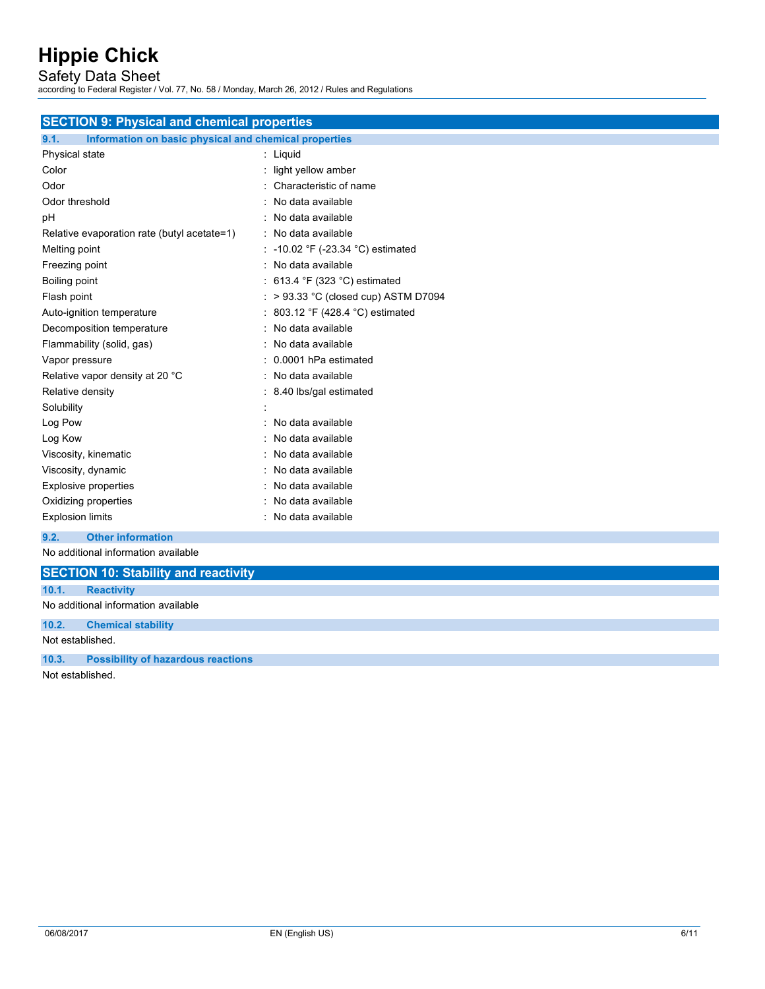Safety Data Sheet

according to Federal Register / Vol. 77, No. 58 / Monday, March 26, 2012 / Rules and Regulations

| <b>SECTION 9: Physical and chemical properties</b>            |                                                 |  |  |  |
|---------------------------------------------------------------|-------------------------------------------------|--|--|--|
| 9.1.<br>Information on basic physical and chemical properties |                                                 |  |  |  |
| Physical state                                                | : Liquid                                        |  |  |  |
| Color                                                         | light yellow amber                              |  |  |  |
| Odor                                                          | Characteristic of name                          |  |  |  |
| Odor threshold                                                | No data available                               |  |  |  |
| рH                                                            | : No data available                             |  |  |  |
| Relative evaporation rate (butyl acetate=1)                   | : No data available                             |  |  |  |
| Melting point                                                 | : -10.02 °F (-23.34 °C) estimated               |  |  |  |
| Freezing point                                                | No data available                               |  |  |  |
| Boiling point                                                 | 613.4 $\degree$ F (323 $\degree$ C) estimated   |  |  |  |
| Flash point                                                   | $\therefore$ > 93.33 °C (closed cup) ASTM D7094 |  |  |  |
| Auto-ignition temperature                                     | 803.12 °F (428.4 °C) estimated                  |  |  |  |
| Decomposition temperature                                     | : No data available                             |  |  |  |
| Flammability (solid, gas)                                     | No data available                               |  |  |  |
| Vapor pressure                                                | 0.0001 hPa estimated                            |  |  |  |
| Relative vapor density at 20 °C                               | : No data available                             |  |  |  |
| Relative density                                              | 8.40 lbs/gal estimated                          |  |  |  |
| Solubility                                                    |                                                 |  |  |  |
| Log Pow                                                       | No data available                               |  |  |  |
| Log Kow                                                       | No data available                               |  |  |  |
| Viscosity, kinematic                                          | No data available                               |  |  |  |
| Viscosity, dynamic                                            | No data available                               |  |  |  |
| <b>Explosive properties</b>                                   | No data available                               |  |  |  |
| Oxidizing properties                                          | No data available                               |  |  |  |
| <b>Explosion limits</b>                                       | No data available                               |  |  |  |
| <b>Other information</b><br>9.2.                              |                                                 |  |  |  |

No additional information available

|       | <b>SECTION 10: Stability and reactivity</b> |
|-------|---------------------------------------------|
| 10.1. | <b>Reactivity</b>                           |
|       | No additional information available         |
| 10.2. | <b>Chemical stability</b>                   |
|       | Not established.                            |
| 10.3. | <b>Possibility of hazardous reactions</b>   |
|       | .                                           |

Not established.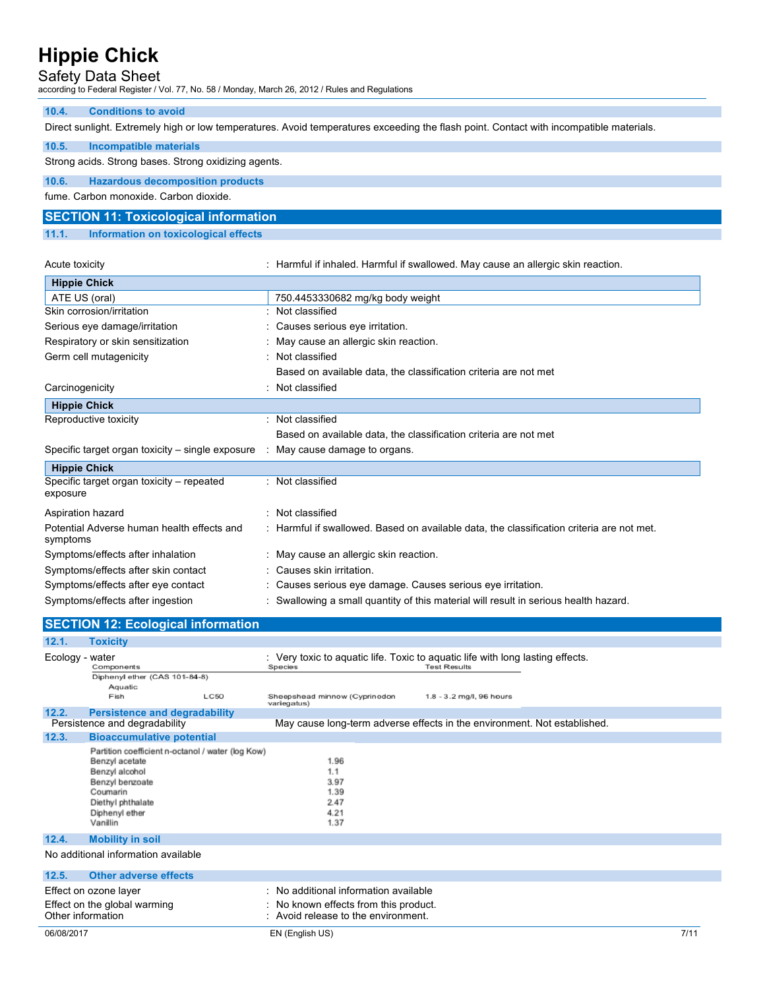## Safety Data Sheet

according to Federal Register / Vol. 77, No. 58 / Monday, March 26, 2012 / Rules and Regulations

## **10.4. Conditions to avoid**

Direct sunlight. Extremely high or low temperatures. Avoid temperatures exceeding the flash point. Contact with incompatible materials.

## **10.5. Incompatible materials**

### Strong acids. Strong bases. Strong oxidizing agents.

**10.6. Hazardous decomposition products** 

fume. Carbon monoxide. Carbon dioxide.

## **SECTION 11: Toxicological information**

### **11.1. Information on toxicological effects**

| Acute toxicity |
|----------------|
|                |

: Harmful if inhaled. Harmful if swallowed. May cause an allergic skin reaction.

| <b>Hippie Chick</b>                                                                       |                                                                                           |
|-------------------------------------------------------------------------------------------|-------------------------------------------------------------------------------------------|
| ATE US (oral)                                                                             | 750.4453330682 mg/kg body weight                                                          |
| Skin corrosion/irritation                                                                 | Not classified                                                                            |
| Serious eye damage/irritation                                                             | : Causes serious eye irritation.                                                          |
| Respiratory or skin sensitization                                                         | : May cause an allergic skin reaction.                                                    |
| Germ cell mutagenicity                                                                    | : Not classified                                                                          |
|                                                                                           | Based on available data, the classification criteria are not met                          |
| Carcinogenicity                                                                           | : Not classified                                                                          |
| <b>Hippie Chick</b>                                                                       |                                                                                           |
| Reproductive toxicity                                                                     | : Not classified                                                                          |
|                                                                                           | Based on available data, the classification criteria are not met                          |
| Specific target organ toxicity – single exposure $\therefore$ May cause damage to organs. |                                                                                           |
| <b>Hippie Chick</b>                                                                       |                                                                                           |
| Specific target organ toxicity – repeated<br>exposure                                     | : Not classified                                                                          |
| Aspiration hazard                                                                         | : Not classified                                                                          |
| Potential Adverse human health effects and<br>symptoms                                    | : Harmful if swallowed. Based on available data, the classification criteria are not met. |
| Symptoms/effects after inhalation                                                         | : May cause an allergic skin reaction.                                                    |
| Symptoms/effects after skin contact                                                       | : Causes skin irritation.                                                                 |
| Symptoms/effects after eye contact                                                        | : Causes serious eye damage. Causes serious eye irritation.                               |
| Symptoms/effects after ingestion                                                          | Swallowing a small quantity of this material will result in serious health hazard.        |

| <b>SECTION 12: Ecological information</b> |                                                                                                                                                                         |                                                                                                                       |  |  |
|-------------------------------------------|-------------------------------------------------------------------------------------------------------------------------------------------------------------------------|-----------------------------------------------------------------------------------------------------------------------|--|--|
| 12.1.                                     | <b>Toxicity</b>                                                                                                                                                         |                                                                                                                       |  |  |
| Ecology - water                           | Components                                                                                                                                                              | : Very toxic to aquatic life. Toxic to aquatic life with long lasting effects.<br><b>Test Results</b><br>Species      |  |  |
|                                           | Diphenyl ether (CAS 101-84-8)                                                                                                                                           |                                                                                                                       |  |  |
|                                           | Aquatic<br><b>LC50</b><br>Fish                                                                                                                                          | Sheepshead minnow (Cyprinodon<br>1.8 - 3.2 mg/l, 96 hours<br>variegatus)                                              |  |  |
| 12.2.                                     | <b>Persistence and degradability</b>                                                                                                                                    |                                                                                                                       |  |  |
| Persistence and degradability             |                                                                                                                                                                         | May cause long-term adverse effects in the environment. Not established.                                              |  |  |
| 12.3.                                     | <b>Bioaccumulative potential</b>                                                                                                                                        |                                                                                                                       |  |  |
|                                           | Partition coefficient n-octanol / water (log Kow)<br>Benzyl acetate<br>Benzyl alcohol<br>Benzyl benzoate<br>Coumarin<br>Diethyl phthalate<br>Diphenyl ether<br>Vanillin | 1.96<br>1.1<br>3.97<br>1.39<br>2.47<br>4.21<br>1.37                                                                   |  |  |
| 12.4.                                     | <b>Mobility in soil</b>                                                                                                                                                 |                                                                                                                       |  |  |
| No additional information available       |                                                                                                                                                                         |                                                                                                                       |  |  |
| 12.5.                                     | <b>Other adverse effects</b>                                                                                                                                            |                                                                                                                       |  |  |
| Other information                         | Effect on ozone layer<br>Effect on the global warming                                                                                                                   | : No additional information available<br>: No known effects from this product.<br>: Avoid release to the environment. |  |  |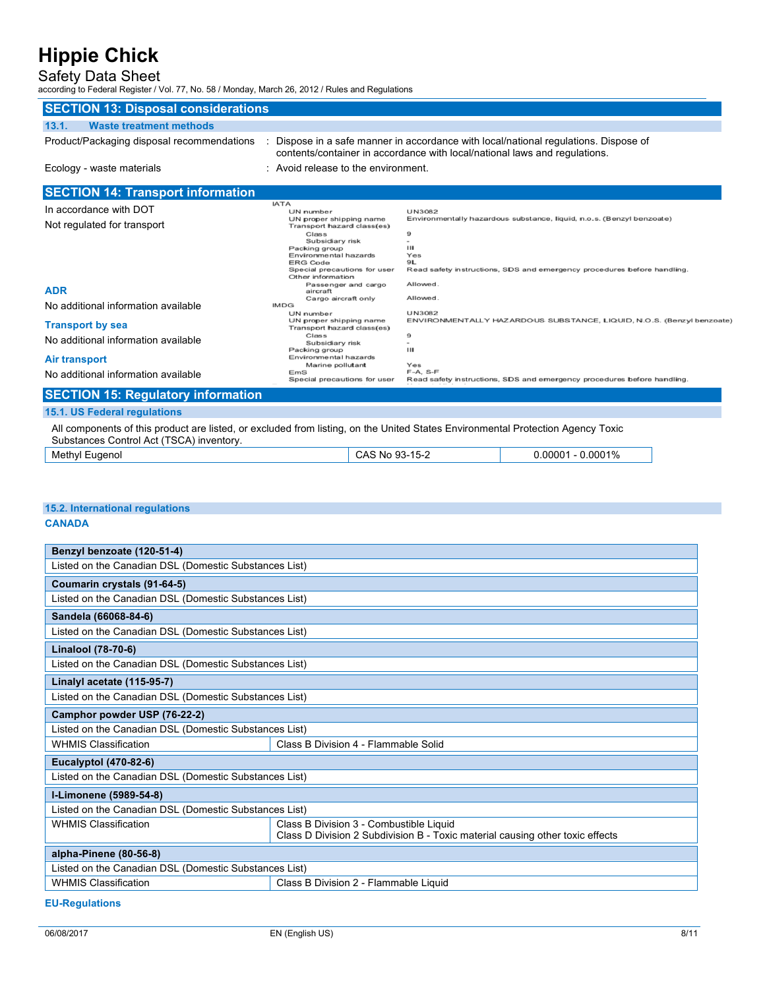## Safety Data Sheet

according to Federal Register / Vol. 77, No. 58 / Monday, March 26, 2012 / Rules and Regulations

| <b>SECTION 13: Disposal considerations</b>                                                                                                                                  |                                                                                                                                                                                                            |                                                                            |                                                                                                                                                  |
|-----------------------------------------------------------------------------------------------------------------------------------------------------------------------------|------------------------------------------------------------------------------------------------------------------------------------------------------------------------------------------------------------|----------------------------------------------------------------------------|--------------------------------------------------------------------------------------------------------------------------------------------------|
| <b>Waste treatment methods</b><br>13.1.                                                                                                                                     |                                                                                                                                                                                                            |                                                                            |                                                                                                                                                  |
| Product/Packaging disposal recommendations                                                                                                                                  |                                                                                                                                                                                                            | contents/container in accordance with local/national laws and regulations. | Dispose in a safe manner in accordance with local/national regulations. Dispose of                                                               |
| Ecology - waste materials                                                                                                                                                   | Avoid release to the environment.                                                                                                                                                                          |                                                                            |                                                                                                                                                  |
| <b>SECTION 14: Transport information</b>                                                                                                                                    |                                                                                                                                                                                                            |                                                                            |                                                                                                                                                  |
| In accordance with DOT<br>Not regulated for transport                                                                                                                       | <b>IATA</b><br>UN number<br>UN proper shipping name<br>Transport hazard class(es)<br>Class<br>Subsidiary risk<br>Packing group<br>Environmental hazards<br><b>ERG Code</b><br>Special precautions for user | <b>UN3082</b><br>9<br>$\overline{a}$<br>Ш<br>Yes<br>9L                     | Environmentally hazardous substance, liquid, n.o.s. (Benzyl benzoate)<br>Read safety instructions, SDS and emergency procedures before handling. |
| <b>ADR</b><br>No additional information available                                                                                                                           | Other information<br>Passenger and cargo<br>aircraft<br>Cargo aircraft only<br><b>IMDG</b><br>UN number                                                                                                    | Allowed.<br>Allowed.<br><b>UN3082</b>                                      |                                                                                                                                                  |
| <b>Transport by sea</b><br>No additional information available                                                                                                              | UN proper shipping name<br>Transport hazard class(es)<br>Class<br>Subsidiary risk<br>Packing group                                                                                                         | 9<br>ш                                                                     | ENVIRONMENTALLY HAZARDOUS SUBSTANCE, LIQUID, N.O.S. (Benzyl benzoate)                                                                            |
| <b>Air transport</b><br>No additional information available                                                                                                                 | Environmental hazards<br>Marine pollutant<br>EmS<br>Special precautions for user                                                                                                                           | Yes<br>$F-A, S-F$                                                          | Read safety instructions, SDS and emergency procedures before handling.                                                                          |
| <b>SECTION 15: Regulatory information</b>                                                                                                                                   |                                                                                                                                                                                                            |                                                                            |                                                                                                                                                  |
| 15.1. US Federal regulations                                                                                                                                                |                                                                                                                                                                                                            |                                                                            |                                                                                                                                                  |
| All components of this product are listed, or excluded from listing, on the United States Environmental Protection Agency Toxic<br>Substances Control Act (TSCA) inventory. |                                                                                                                                                                                                            |                                                                            |                                                                                                                                                  |
| Methyl Eugenol                                                                                                                                                              |                                                                                                                                                                                                            | CAS No 93-15-2                                                             | $0.00001 - 0.0001\%$                                                                                                                             |

## **15.2. International regulations**

### **CANADA**

| Benzyl benzoate (120-51-4)                            |                                                                               |  |  |  |
|-------------------------------------------------------|-------------------------------------------------------------------------------|--|--|--|
| Listed on the Canadian DSL (Domestic Substances List) |                                                                               |  |  |  |
| Coumarin crystals (91-64-5)                           |                                                                               |  |  |  |
| Listed on the Canadian DSL (Domestic Substances List) |                                                                               |  |  |  |
| Sandela (66068-84-6)                                  |                                                                               |  |  |  |
| Listed on the Canadian DSL (Domestic Substances List) |                                                                               |  |  |  |
| <b>Linalool (78-70-6)</b>                             |                                                                               |  |  |  |
| Listed on the Canadian DSL (Domestic Substances List) |                                                                               |  |  |  |
| Linalyl acetate (115-95-7)                            |                                                                               |  |  |  |
| Listed on the Canadian DSL (Domestic Substances List) |                                                                               |  |  |  |
| Camphor powder USP (76-22-2)                          |                                                                               |  |  |  |
| Listed on the Canadian DSL (Domestic Substances List) |                                                                               |  |  |  |
| <b>WHMIS Classification</b>                           | Class B Division 4 - Flammable Solid                                          |  |  |  |
| <b>Eucalyptol (470-82-6)</b>                          |                                                                               |  |  |  |
| Listed on the Canadian DSL (Domestic Substances List) |                                                                               |  |  |  |
| I-Limonene (5989-54-8)                                |                                                                               |  |  |  |
| Listed on the Canadian DSL (Domestic Substances List) |                                                                               |  |  |  |
| <b>WHMIS Classification</b>                           | Class B Division 3 - Combustible Liquid                                       |  |  |  |
|                                                       | Class D Division 2 Subdivision B - Toxic material causing other toxic effects |  |  |  |
| alpha-Pinene (80-56-8)                                |                                                                               |  |  |  |
| Listed on the Canadian DSL (Domestic Substances List) |                                                                               |  |  |  |
| <b>WHMIS Classification</b>                           | Class B Division 2 - Flammable Liquid                                         |  |  |  |

### **EU-Regulations**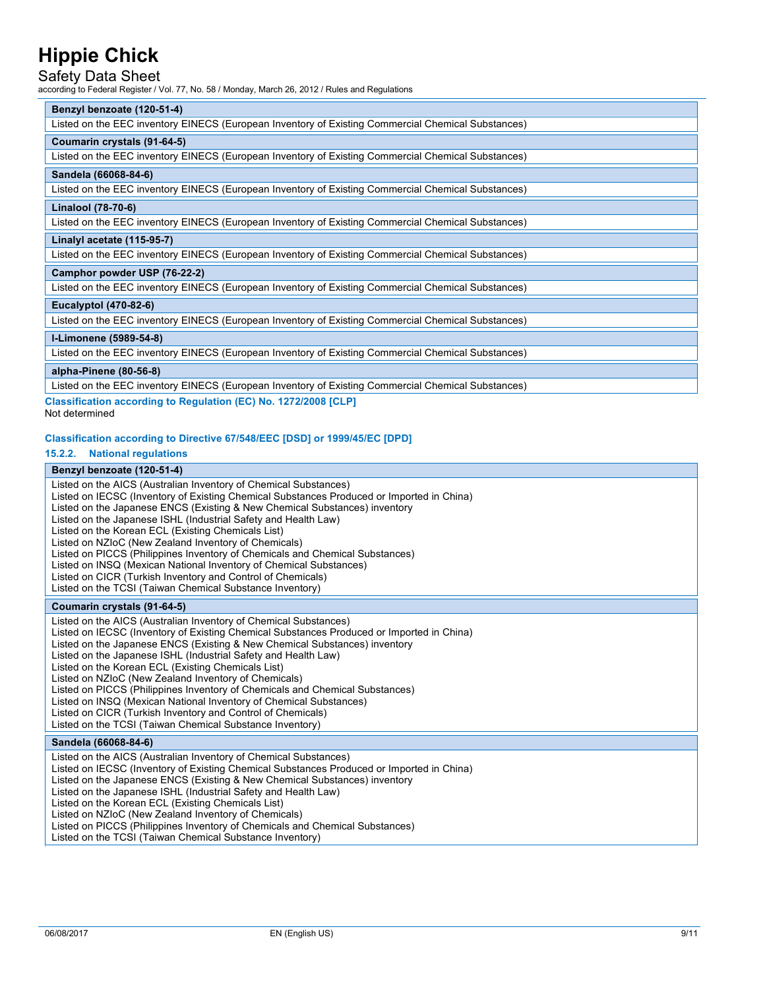## Safety Data Sheet

according to Federal Register / Vol. 77, No. 58 / Monday, March 26, 2012 / Rules and Regulations

#### **Benzyl benzoate (120-51-4)**

Listed on the EEC inventory EINECS (European Inventory of Existing Commercial Chemical Substances)

#### **Coumarin crystals (91-64-5)**

Listed on the EEC inventory EINECS (European Inventory of Existing Commercial Chemical Substances)

#### **Sandela (66068-84-6)**

Listed on the EEC inventory EINECS (European Inventory of Existing Commercial Chemical Substances)

#### **Linalool (78-70-6)**

Listed on the EEC inventory EINECS (European Inventory of Existing Commercial Chemical Substances)

#### **Linalyl acetate (115-95-7)**

Listed on the EEC inventory EINECS (European Inventory of Existing Commercial Chemical Substances)

#### **Camphor powder USP (76-22-2)**

Listed on the EEC inventory EINECS (European Inventory of Existing Commercial Chemical Substances)

#### **Eucalyptol (470-82-6)**

Listed on the EEC inventory EINECS (European Inventory of Existing Commercial Chemical Substances)

#### **l-Limonene (5989-54-8)**

Listed on the EEC inventory EINECS (European Inventory of Existing Commercial Chemical Substances)

#### **alpha-Pinene (80-56-8)**

Listed on the EEC inventory EINECS (European Inventory of Existing Commercial Chemical Substances)

**Classification according to Regulation (EC) No. 1272/2008 [CLP]**  Not determined

#### **Classification according to Directive 67/548/EEC [DSD] or 1999/45/EC [DPD]**

**15.2.2. National regulations** 

#### **Benzyl benzoate (120-51-4)**

Listed on the AICS (Australian Inventory of Chemical Substances) Listed on IECSC (Inventory of Existing Chemical Substances Produced or Imported in China) Listed on the Japanese ENCS (Existing & New Chemical Substances) inventory Listed on the Japanese ISHL (Industrial Safety and Health Law) Listed on the Korean ECL (Existing Chemicals List) Listed on NZIoC (New Zealand Inventory of Chemicals) Listed on PICCS (Philippines Inventory of Chemicals and Chemical Substances) Listed on INSQ (Mexican National Inventory of Chemical Substances) Listed on CICR (Turkish Inventory and Control of Chemicals) Listed on the TCSI (Taiwan Chemical Substance Inventory)

#### **Coumarin crystals (91-64-5)**

Listed on the AICS (Australian Inventory of Chemical Substances) Listed on IECSC (Inventory of Existing Chemical Substances Produced or Imported in China) Listed on the Japanese ENCS (Existing & New Chemical Substances) inventory Listed on the Japanese ISHL (Industrial Safety and Health Law) Listed on the Korean ECL (Existing Chemicals List) Listed on NZIoC (New Zealand Inventory of Chemicals) Listed on PICCS (Philippines Inventory of Chemicals and Chemical Substances) Listed on INSQ (Mexican National Inventory of Chemical Substances) Listed on CICR (Turkish Inventory and Control of Chemicals) Listed on the TCSI (Taiwan Chemical Substance Inventory)

#### **Sandela (66068-84-6)**

Listed on the AICS (Australian Inventory of Chemical Substances) Listed on IECSC (Inventory of Existing Chemical Substances Produced or Imported in China) Listed on the Japanese ENCS (Existing & New Chemical Substances) inventory Listed on the Japanese ISHL (Industrial Safety and Health Law) Listed on the Korean ECL (Existing Chemicals List) Listed on NZIoC (New Zealand Inventory of Chemicals) Listed on PICCS (Philippines Inventory of Chemicals and Chemical Substances) Listed on the TCSI (Taiwan Chemical Substance Inventory)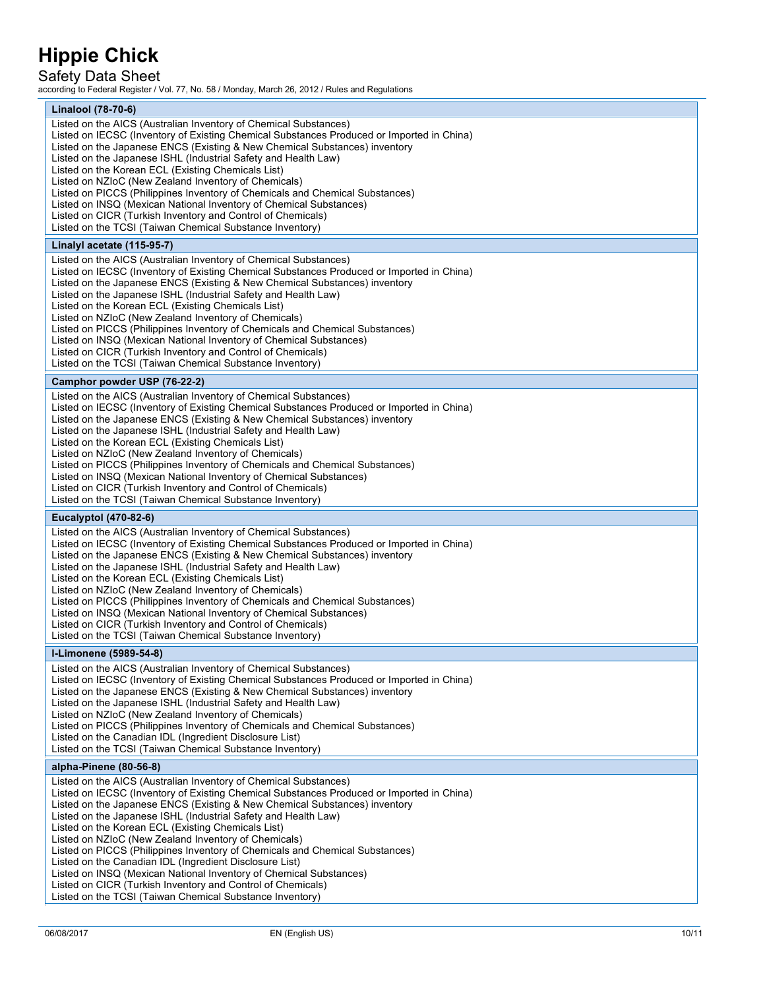## Safety Data Sheet

according to Federal Register / Vol. 77, No. 58 / Monday, March 26, 2012 / Rules and Regulations

| Linalool (78-70-6)<br>Listed on the AICS (Australian Inventory of Chemical Substances)                                                                                                                                                      |  |
|---------------------------------------------------------------------------------------------------------------------------------------------------------------------------------------------------------------------------------------------|--|
|                                                                                                                                                                                                                                             |  |
| Listed on IECSC (Inventory of Existing Chemical Substances Produced or Imported in China)<br>Listed on the Japanese ENCS (Existing & New Chemical Substances) inventory                                                                     |  |
| Listed on the Japanese ISHL (Industrial Safety and Health Law)<br>Listed on the Korean ECL (Existing Chemicals List)                                                                                                                        |  |
| Listed on NZIoC (New Zealand Inventory of Chemicals)<br>Listed on PICCS (Philippines Inventory of Chemicals and Chemical Substances)                                                                                                        |  |
| Listed on INSQ (Mexican National Inventory of Chemical Substances)<br>Listed on CICR (Turkish Inventory and Control of Chemicals)                                                                                                           |  |
| Listed on the TCSI (Taiwan Chemical Substance Inventory)                                                                                                                                                                                    |  |
| Linalyl acetate (115-95-7)                                                                                                                                                                                                                  |  |
| Listed on the AICS (Australian Inventory of Chemical Substances)<br>Listed on IECSC (Inventory of Existing Chemical Substances Produced or Imported in China)<br>Listed on the Japanese ENCS (Existing & New Chemical Substances) inventory |  |
| Listed on the Japanese ISHL (Industrial Safety and Health Law)<br>Listed on the Korean ECL (Existing Chemicals List)                                                                                                                        |  |
| Listed on NZIoC (New Zealand Inventory of Chemicals)<br>Listed on PICCS (Philippines Inventory of Chemicals and Chemical Substances)                                                                                                        |  |
| Listed on INSQ (Mexican National Inventory of Chemical Substances)<br>Listed on CICR (Turkish Inventory and Control of Chemicals)                                                                                                           |  |
| Listed on the TCSI (Taiwan Chemical Substance Inventory)                                                                                                                                                                                    |  |
| Camphor powder USP (76-22-2)                                                                                                                                                                                                                |  |
| Listed on the AICS (Australian Inventory of Chemical Substances)<br>Listed on IECSC (Inventory of Existing Chemical Substances Produced or Imported in China)                                                                               |  |
| Listed on the Japanese ENCS (Existing & New Chemical Substances) inventory<br>Listed on the Japanese ISHL (Industrial Safety and Health Law)                                                                                                |  |
| Listed on the Korean ECL (Existing Chemicals List)<br>Listed on NZIoC (New Zealand Inventory of Chemicals)                                                                                                                                  |  |
| Listed on PICCS (Philippines Inventory of Chemicals and Chemical Substances)<br>Listed on INSQ (Mexican National Inventory of Chemical Substances)                                                                                          |  |
| Listed on CICR (Turkish Inventory and Control of Chemicals)<br>Listed on the TCSI (Taiwan Chemical Substance Inventory)                                                                                                                     |  |
|                                                                                                                                                                                                                                             |  |
| Eucalyptol (470-82-6)                                                                                                                                                                                                                       |  |
| Listed on the AICS (Australian Inventory of Chemical Substances)                                                                                                                                                                            |  |
| Listed on IECSC (Inventory of Existing Chemical Substances Produced or Imported in China)<br>Listed on the Japanese ENCS (Existing & New Chemical Substances) inventory<br>Listed on the Japanese ISHL (Industrial Safety and Health Law)   |  |
| Listed on the Korean ECL (Existing Chemicals List)<br>Listed on NZIoC (New Zealand Inventory of Chemicals)                                                                                                                                  |  |
| Listed on PICCS (Philippines Inventory of Chemicals and Chemical Substances)                                                                                                                                                                |  |
| Listed on INSQ (Mexican National Inventory of Chemical Substances)<br>Listed on CICR (Turkish Inventory and Control of Chemicals)                                                                                                           |  |
| Listed on the TCSI (Taiwan Chemical Substance Inventory)                                                                                                                                                                                    |  |
| I-Limonene (5989-54-8)<br>Listed on the AICS (Australian Inventory of Chemical Substances)                                                                                                                                                  |  |
| Listed on IECSC (Inventory of Existing Chemical Substances Produced or Imported in China)<br>Listed on the Japanese ENCS (Existing & New Chemical Substances) inventory                                                                     |  |
| Listed on the Japanese ISHL (Industrial Safety and Health Law)<br>Listed on NZIoC (New Zealand Inventory of Chemicals)                                                                                                                      |  |
| Listed on PICCS (Philippines Inventory of Chemicals and Chemical Substances)<br>Listed on the Canadian IDL (Ingredient Disclosure List)                                                                                                     |  |
| Listed on the TCSI (Taiwan Chemical Substance Inventory)                                                                                                                                                                                    |  |
| alpha-Pinene (80-56-8)                                                                                                                                                                                                                      |  |
| Listed on the AICS (Australian Inventory of Chemical Substances)<br>Listed on IECSC (Inventory of Existing Chemical Substances Produced or Imported in China)                                                                               |  |
| Listed on the Japanese ENCS (Existing & New Chemical Substances) inventory<br>Listed on the Japanese ISHL (Industrial Safety and Health Law)                                                                                                |  |
| Listed on the Korean ECL (Existing Chemicals List)<br>Listed on NZIoC (New Zealand Inventory of Chemicals)                                                                                                                                  |  |
| Listed on PICCS (Philippines Inventory of Chemicals and Chemical Substances)<br>Listed on the Canadian IDL (Ingredient Disclosure List)                                                                                                     |  |
| Listed on INSQ (Mexican National Inventory of Chemical Substances)<br>Listed on CICR (Turkish Inventory and Control of Chemicals)                                                                                                           |  |